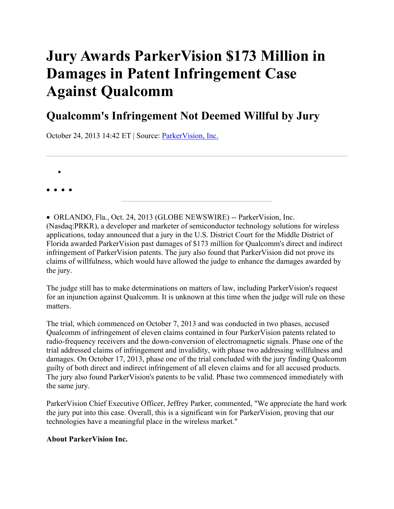# **Jury Awards ParkerVision \$173 Million in Damages in Patent Infringement Case Against Qualcomm**

## **Qualcomm's Infringement Not Deemed Willful by Jury**

October 24, 2013 14:42 ET | Source: ParkerVision, Inc.

• • • • •

• ORLANDO, Fla., Oct. 24, 2013 (GLOBE NEWSWIRE) -- ParkerVision, Inc. (Nasdaq:PRKR), a developer and marketer of semiconductor technology solutions for wireless applications, today announced that a jury in the U.S. District Court for the Middle District of Florida awarded ParkerVision past damages of \$173 million for Qualcomm's direct and indirect infringement of ParkerVision patents. The jury also found that ParkerVision did not prove its claims of willfulness, which would have allowed the judge to enhance the damages awarded by the jury.

The judge still has to make determinations on matters of law, including ParkerVision's request for an injunction against Qualcomm. It is unknown at this time when the judge will rule on these matters.

The trial, which commenced on October 7, 2013 and was conducted in two phases, accused Qualcomm of infringement of eleven claims contained in four ParkerVision patents related to radio-frequency receivers and the down-conversion of electromagnetic signals. Phase one of the trial addressed claims of infringement and invalidity, with phase two addressing willfulness and damages. On October 17, 2013, phase one of the trial concluded with the jury finding Qualcomm guilty of both direct and indirect infringement of all eleven claims and for all accused products. The jury also found ParkerVision's patents to be valid. Phase two commenced immediately with the same jury.

ParkerVision Chief Executive Officer, Jeffrey Parker, commented, "We appreciate the hard work the jury put into this case. Overall, this is a significant win for ParkerVision, proving that our technologies have a meaningful place in the wireless market."

#### **About ParkerVision Inc.**